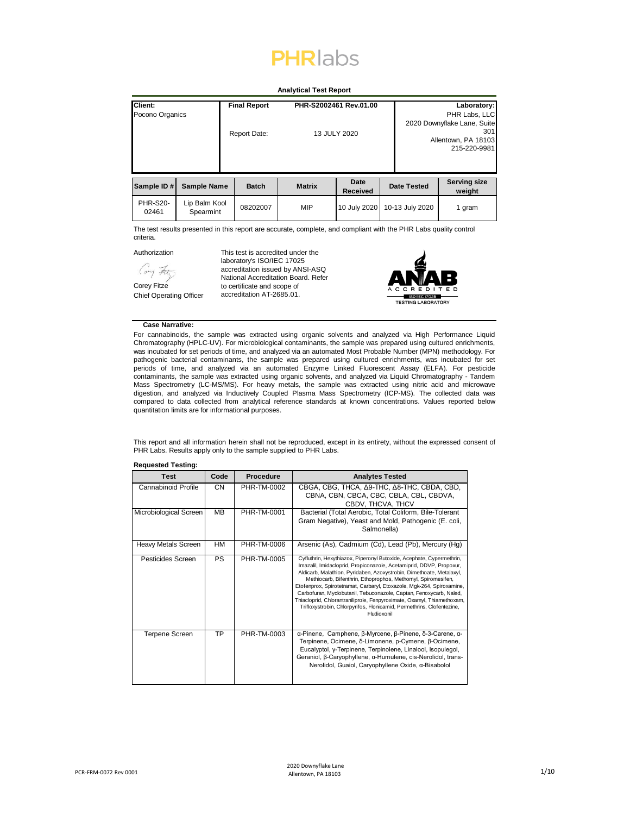# **PHR**labs

# **Analytical Test Report**

| Client:<br>Pocono Organics |                            | <b>Final Report</b><br>Report Date: | PHR-S2002461 Rev.01.00<br>13 JULY 2020 |                         |                    | Laboratory:<br>PHR Labs, LLC<br>2020 Downyflake Lane, Suite<br>301<br>Allentown, PA 18103<br>215-220-9981 |  |
|----------------------------|----------------------------|-------------------------------------|----------------------------------------|-------------------------|--------------------|-----------------------------------------------------------------------------------------------------------|--|
| Sample ID#                 | <b>Sample Name</b>         | <b>Batch</b>                        | <b>Matrix</b>                          | Date<br><b>Received</b> | <b>Date Tested</b> | <b>Serving size</b><br>weight                                                                             |  |
| <b>PHR-S20-</b><br>02461   | Lip Balm Kool<br>Spearmint | 08202007                            | <b>MIP</b>                             | 10 July 2020            | 10-13 July 2020    | 1 gram                                                                                                    |  |

The test results presented in this report are accurate, complete, and compliant with the PHR Labs quality control criteria.

Cany Fitz Corey Fitze

Authorization This test is accredited under the laboratory's ISO/IEC 17025 accreditation issued by ANSI-ASQ National Accreditation Board. Refer to certificate and scope of accreditation AT-2685.01.



# **Case Narrative:**

Chief Operating Officer

For cannabinoids, the sample was extracted using organic solvents and analyzed via High Performance Liquid Chromatography (HPLC-UV). For microbiological contaminants, the sample was prepared using cultured enrichments, was incubated for set periods of time, and analyzed via an automated Most Probable Number (MPN) methodology. For pathogenic bacterial contaminants, the sample was prepared using cultured enrichments, was incubated for set periods of time, and analyzed via an automated Enzyme Linked Fluorescent Assay (ELFA). For pesticide contaminants, the sample was extracted using organic solvents, and analyzed via Liquid Chromatography - Tandem Mass Spectrometry (LC-MS/MS). For heavy metals, the sample was extracted using nitric acid and microwave digestion, and analyzed via Inductively Coupled Plasma Mass Spectrometry (ICP-MS). The collected data was compared to data collected from analytical reference standards at known concentrations. Values reported below quantitation limits are for informational purposes.

This report and all information herein shall not be reproduced, except in its entirety, without the expressed consent of PHR Labs. Results apply only to the sample supplied to PHR Labs.

### **Requested Testing:**

| <b>Test</b>                | Code      | <b>Procedure</b> | <b>Analytes Tested</b>                                                                                                                                                                                                                                                                                                                                                                                                                                                                                                                                                                               |
|----------------------------|-----------|------------------|------------------------------------------------------------------------------------------------------------------------------------------------------------------------------------------------------------------------------------------------------------------------------------------------------------------------------------------------------------------------------------------------------------------------------------------------------------------------------------------------------------------------------------------------------------------------------------------------------|
| Cannabinoid Profile        | CN.       | PHR-TM-0002      | CBGA, CBG, THCA, A9-THC, A8-THC, CBDA, CBD,<br>CBNA, CBN, CBCA, CBC, CBLA, CBL, CBDVA,<br>CBDV, THCVA, THCV                                                                                                                                                                                                                                                                                                                                                                                                                                                                                          |
| Microbiological Screen     | MB        | PHR-TM-0001      | Bacterial (Total Aerobic, Total Coliform, Bile-Tolerant<br>Gram Negative), Yeast and Mold, Pathogenic (E. coli,<br>Salmonella)                                                                                                                                                                                                                                                                                                                                                                                                                                                                       |
| <b>Heavy Metals Screen</b> | <b>HM</b> | PHR-TM-0006      | Arsenic (As), Cadmium (Cd), Lead (Pb), Mercury (Hg)                                                                                                                                                                                                                                                                                                                                                                                                                                                                                                                                                  |
| Pesticides Screen          | <b>PS</b> | PHR-TM-0005      | Cyfluthrin, Hexythiazox, Piperonyl Butoxide, Acephate, Cypermethrin,<br>Imazalil, Imidacloprid, Propiconazole, Acetamiprid, DDVP, Propoxur,<br>Aldicarb, Malathion, Pyridaben, Azoxystrobin, Dimethoate, Metalaxyl,<br>Methiocarb, Bifenthrin, Ethoprophos, Methomyl, Spiromesifen,<br>Etofenprox, Spirotetramat, Carbaryl, Etoxazole, Mgk-264, Spiroxamine,<br>Carbofuran, Myclobutanil, Tebuconazole, Captan, Fenoxycarb, Naled,<br>Thiacloprid, Chlorantraniliprole, Fenpyroximate, Oxamyl, Thiamethoxam,<br>Trifloxystrobin, Chlorpyrifos, Flonicamid, Permethrins, Clofentezine,<br>Fludioxonil |
| Terpene Screen             | TP        | PHR-TM-0003      | α-Pinene, Camphene, β-Myrcene, β-Pinene, δ-3-Carene, α-<br>Terpinene, Ocimene, δ-Limonene, p-Cymene, β-Ocimene,<br>Eucalyptol, y-Terpinene, Terpinolene, Linalool, Isopulegol,<br>Geraniol, β-Caryophyllene, α-Humulene, cis-Nerolidol, trans-<br>Nerolidol, Guaiol, Caryophyllene Oxide, a-Bisabolol                                                                                                                                                                                                                                                                                                |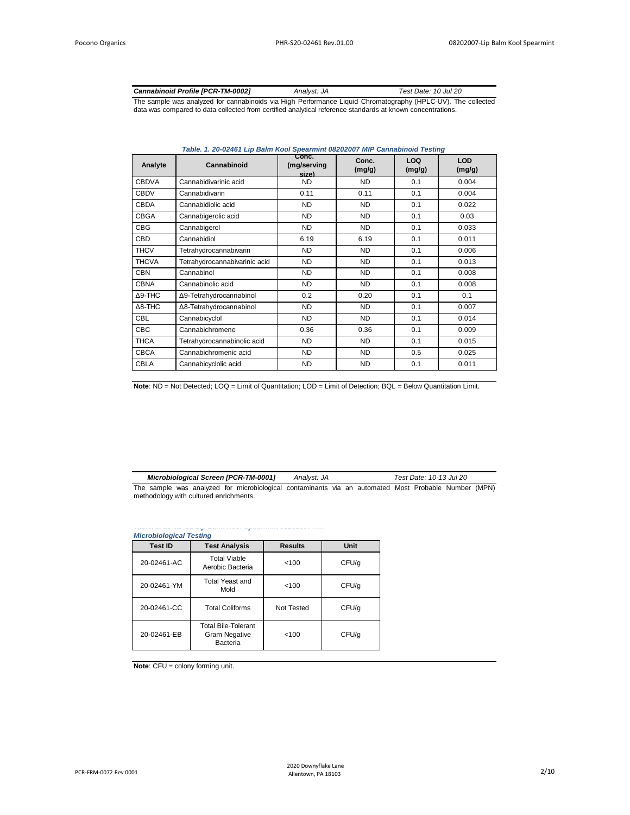| <b>Cannabinoid Profile IPCR-TM-00021</b>                                                                   | Analyst: JA | Test Date: 10 Jul 20                                                                                         |
|------------------------------------------------------------------------------------------------------------|-------------|--------------------------------------------------------------------------------------------------------------|
|                                                                                                            |             | The sample was analyzed for cannabinoids via High Performance Liquid Chromatography (HPLC-UV). The collected |
| data was compared to data collected from certified analytical reference standards at known concentrations. |             |                                                                                                              |

|  |  |  | Table. 1. 20-02461 Lip Balm Kool Spearmint 08202007 MIP Cannabinoid Testing |  |
|--|--|--|-----------------------------------------------------------------------------|--|
|  |  |  |                                                                             |  |

| Cannabinoid                   | Conc.<br>(mg/serving<br>size) | Conc.<br>(mg/g) | <b>LOQ</b><br>(mg/g) | <b>LOD</b><br>(mg/g) |
|-------------------------------|-------------------------------|-----------------|----------------------|----------------------|
| Cannabidivarinic acid         | <b>ND</b>                     | <b>ND</b>       | 0.1                  | 0.004                |
| Cannabidivarin                | 0.11                          | 0.11            | 0.1                  | 0.004                |
| Cannabidiolic acid            | <b>ND</b>                     | ND.             | 0.1                  | 0.022                |
| Cannabigerolic acid           | <b>ND</b>                     | ND.             | 0.1                  | 0.03                 |
| Cannabigerol                  | <b>ND</b>                     | ND.             | 0.1                  | 0.033                |
| Cannabidiol                   | 6.19                          | 6.19            | 0.1                  | 0.011                |
| Tetrahydrocannabivarin        | ND.                           | ND.             | 0.1                  | 0.006                |
| Tetrahydrocannabivarinic acid | ND.                           | ND.             | 0.1                  | 0.013                |
| Cannabinol                    | <b>ND</b>                     | ND.             | 0.1                  | 0.008                |
| Cannabinolic acid             | ND.                           | ND.             | 0.1                  | 0.008                |
| ∆9-Tetrahydrocannabinol       | 0.2                           | 0.20            | 0.1                  | 0.1                  |
| Δ8-Tetrahydrocannabinol       | <b>ND</b>                     | ND.             | 0.1                  | 0.007                |
| Cannabicyclol                 | <b>ND</b>                     | ND.             | 0.1                  | 0.014                |
| Cannabichromene               | 0.36                          | 0.36            | 0.1                  | 0.009                |
| Tetrahydrocannabinolic acid   | <b>ND</b>                     | ND.             | 0.1                  | 0.015                |
| Cannabichromenic acid         | <b>ND</b>                     | ND.             | 0.5                  | 0.025                |
| Cannabicyclolic acid          | ND.                           | ND.             | 0.1                  | 0.011                |
|                               |                               |                 |                      |                      |

**Note**: ND = Not Detected; LOQ = Limit of Quantitation; LOD = Limit of Detection; BQL = Below Quantitation Limit.

| <b>Microbiological Screen (PCR-TM-0001)</b> |  |  | Analvst: JA |                                                                                                      |  | Test Date: 10-13 Jul 20 |  |  |  |  |
|---------------------------------------------|--|--|-------------|------------------------------------------------------------------------------------------------------|--|-------------------------|--|--|--|--|
|                                             |  |  |             | The sample was analyzed for microbiological contaminants via an automated Most Probable Number (MPN) |  |                         |  |  |  |  |
| methodology with cultured enrichments.      |  |  |             |                                                                                                      |  |                         |  |  |  |  |

| <b>Microbiological Testing</b> |                                                                |                |       |  |  |  |
|--------------------------------|----------------------------------------------------------------|----------------|-------|--|--|--|
| <b>Test ID</b>                 | <b>Test Analysis</b>                                           | <b>Results</b> | Unit  |  |  |  |
| 20-02461-AC                    | <b>Total Viable</b><br>Aerobic Bacteria                        | <100           | CFU/g |  |  |  |
| 20-02461-YM                    | Total Yeast and<br>Mold                                        | <100           | CFU/g |  |  |  |
| 20-02461-CC                    | <b>Total Coliforms</b>                                         | Not Tested     | CFU/g |  |  |  |
| 20-02461-EB                    | <b>Total Bile-Tolerant</b><br><b>Gram Negative</b><br>Bacteria | <100           | CFU/g |  |  |  |

**Note:** CFU = colony forming unit.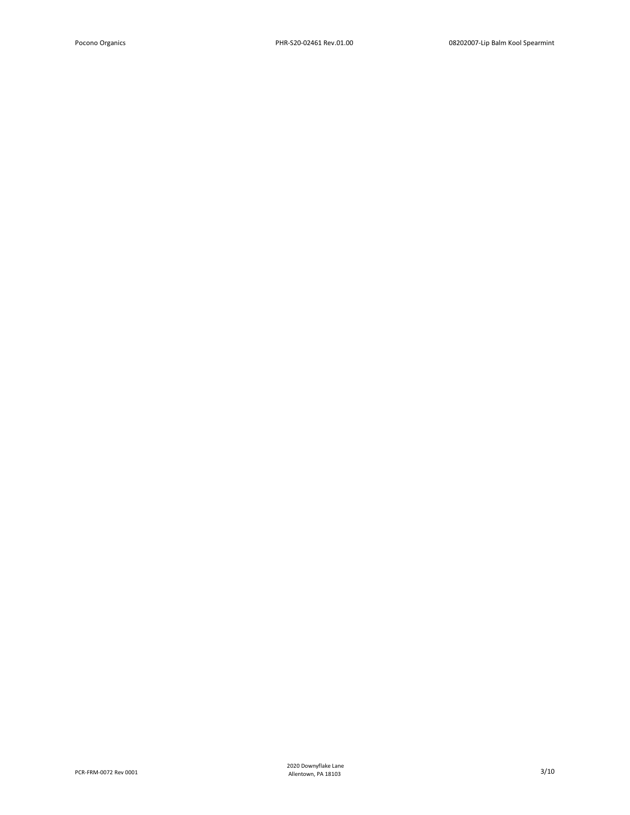PCR-FRM-0072 Rev 0001

2020 Downyflake Lane Allentown, PA 18103 3/10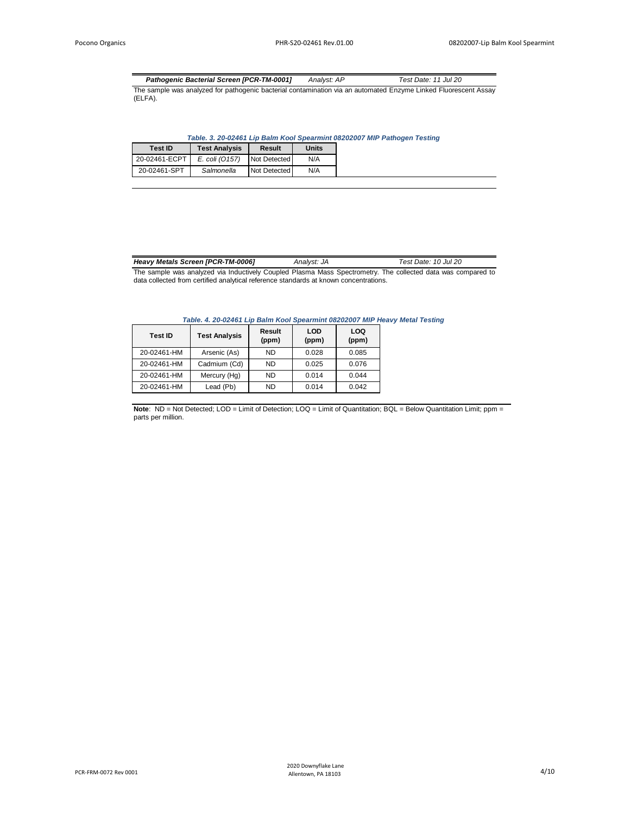The sample was analyzed for pathogenic bacterial contamination via an automated Enzyme Linked Fluorescent Assay (ELFA). *Pathogenic Bacterial Screen [PCR-TM-0001] Analyst: AP Test Date: 11 Jul 20*

|  | Table. 3. 20-02461 Lip Balm Kool Spearmint 08202007 MIP Pathogen Testing |
|--|--------------------------------------------------------------------------|
|  |                                                                          |

| <b>Test ID</b> | <b>Test Analysis</b> | Result       | Units |
|----------------|----------------------|--------------|-------|
| 20-02461-ECPT  | E. coli (0157)       | Not Detected | N/A   |
| 20-02461-SPT   | Salmonella           | Not Detected | N/A   |

| Heavy Metals Screen [PCR-TM-0006]                                                     | Analyst: JA | Test Date: 10 Jul 20                                                                                         |
|---------------------------------------------------------------------------------------|-------------|--------------------------------------------------------------------------------------------------------------|
|                                                                                       |             | The sample was analyzed via Inductively Coupled Plasma Mass Spectrometry. The collected data was compared to |
| data collected from certified analytical reference standards at known concentrations. |             |                                                                                                              |

# *Table. 4. 20-02461 Lip Balm Kool Spearmint 08202007 MIP Heavy Metal Testing*

| <b>Test ID</b> | <b>Test Analysis</b> | Result<br>(ppm) | <b>LOD</b><br>(ppm) | LOQ<br>(ppm) |
|----------------|----------------------|-----------------|---------------------|--------------|
| 20-02461-HM    | Arsenic (As)         | <b>ND</b>       | 0.028               | 0.085        |
| 20-02461-HM    | Cadmium (Cd)         | <b>ND</b>       | 0.025               | 0.076        |
| 20-02461-HM    | Mercury (Hg)         | <b>ND</b>       | 0.014               | 0.044        |
| 20-02461-HM    | Lead (Pb)            | <b>ND</b>       | 0.014               | 0.042        |

**Note**: ND = Not Detected; LOD = Limit of Detection; LOQ = Limit of Quantitation; BQL = Below Quantitation Limit; ppm = parts per million.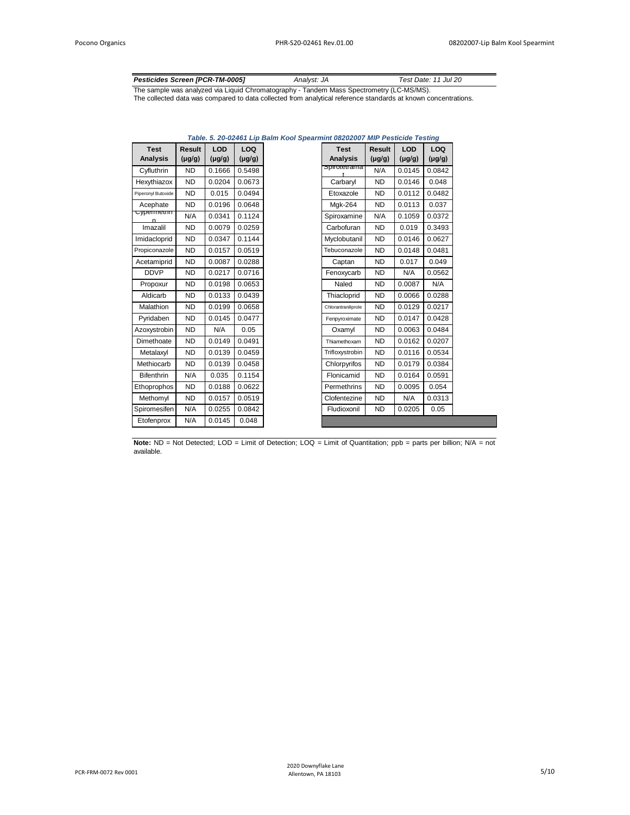| Pesticides Screen [PCR-TM-0005]                                                          | Analyst: JA | Test Date: 11 Jul 20 |  |  |  |  |
|------------------------------------------------------------------------------------------|-------------|----------------------|--|--|--|--|
| The sample was analyzed via Liquid Chromatography - Tandem Mass Spectrometry (LC-MS/MS). |             |                      |  |  |  |  |

The collected data was compared to data collected from analytical reference standards at known concentrations.

| <b>Test</b>        | <b>Result</b> | <b>LOD</b>  | <b>LOQ</b>  | <b>Test</b>         | <b>Result</b> | <b>LOD</b>  | <b>LOQ</b>  |
|--------------------|---------------|-------------|-------------|---------------------|---------------|-------------|-------------|
| <b>Analysis</b>    | $(\mu g/g)$   | $(\mu g/g)$ | $(\mu g/g)$ | <b>Analysis</b>     | $(\mu g/g)$   | $(\mu g/g)$ | $(\mu g/g)$ |
| Cyfluthrin         | <b>ND</b>     | 0.1666      | 0.5498      | spirotetrama        | N/A           | 0.0145      | 0.0842      |
| Hexythiazox        | <b>ND</b>     | 0.0204      | 0.0673      | Carbaryl            | ND.           | 0.0146      | 0.048       |
| Piperonyl Butoxide | <b>ND</b>     | 0.015       | 0.0494      | Etoxazole           | <b>ND</b>     | 0.0112      | 0.0482      |
| Acephate           | <b>ND</b>     | 0.0196      | 0.0648      | Mgk-264             | ND.           | 0.0113      | 0.037       |
| Cypermethin        | N/A           | 0.0341      | 0.1124      | Spiroxamine         | N/A           | 0.1059      | 0.0372      |
| Imazalil           | ND.           | 0.0079      | 0.0259      | Carbofuran          | ND.           | 0.019       | 0.3493      |
| Imidacloprid       | <b>ND</b>     | 0.0347      | 0.1144      | Myclobutanil        | ND            | 0.0146      | 0.0627      |
| Propiconazole      | <b>ND</b>     | 0.0157      | 0.0519      | Tebuconazole        | <b>ND</b>     | 0.0148      | 0.0481      |
| Acetamiprid        | <b>ND</b>     | 0.0087      | 0.0288      | Captan              | <b>ND</b>     | 0.017       | 0.049       |
| <b>DDVP</b>        | <b>ND</b>     | 0.0217      | 0.0716      | Fenoxycarb          | <b>ND</b>     | N/A         | 0.0562      |
| Propoxur           | <b>ND</b>     | 0.0198      | 0.0653      | Naled               | <b>ND</b>     | 0.0087      | N/A         |
| Aldicarb           | <b>ND</b>     | 0.0133      | 0.0439      | Thiacloprid         | <b>ND</b>     | 0.0066      | 0.0288      |
| Malathion          | <b>ND</b>     | 0.0199      | 0.0658      | Chlorantraniliprole | <b>ND</b>     | 0.0129      | 0.0217      |
| Pyridaben          | <b>ND</b>     | 0.0145      | 0.0477      | Fenpyroximate       | <b>ND</b>     | 0.0147      | 0.0428      |
| Azoxystrobin       | <b>ND</b>     | N/A         | 0.05        | Oxamyl              | <b>ND</b>     | 0.0063      | 0.0484      |
| Dimethoate         | <b>ND</b>     | 0.0149      | 0.0491      | Thiamethoxam        | <b>ND</b>     | 0.0162      | 0.0207      |
| Metalaxyl          | ND.           | 0.0139      | 0.0459      | Trifloxystrobin     | ND.           | 0.0116      | 0.0534      |
| Methiocarb         | ND.           | 0.0139      | 0.0458      | Chlorpyrifos        | <b>ND</b>     | 0.0179      | 0.0384      |
| <b>Bifenthrin</b>  | N/A           | 0.035       | 0.1154      | Flonicamid          | ND.           | 0.0164      | 0.0591      |
| Ethoprophos        | ND.           | 0.0188      | 0.0622      | Permethrins         | ND.           | 0.0095      | 0.054       |
| Methomyl           | ND.           | 0.0157      | 0.0519      | Clofentezine        | ND.           | N/A         | 0.0313      |
| Spiromesifen       | N/A           | 0.0255      | 0.0842      | Fludioxonil         | ND            | 0.0205      | 0.05        |
| Etofenprox         | N/A           | 0.0145      | 0.048       |                     |               |             |             |
|                    |               |             |             |                     |               |             |             |

*Table. 5. 20-02461 Lip Balm Kool Spearmint 08202007 MIP Pesticide Testing*

**Note:** ND = Not Detected; LOD = Limit of Detection; LOQ = Limit of Quantitation; ppb = parts per billion; N/A = not available.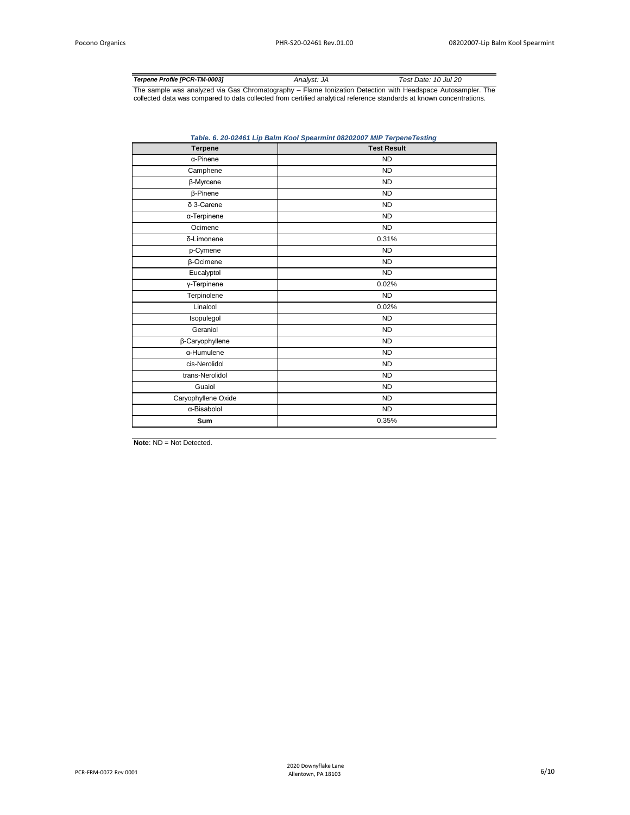| Terpene Profile [PCR-TM-0003] | Analyst: JA | Test Date: 10 Jul 20                                                                                        |
|-------------------------------|-------------|-------------------------------------------------------------------------------------------------------------|
|                               |             | The sample was analyzed via Gas Chromatography – Flame Ionization Detection with Headspace Autosampler. The |
| .                             |             |                                                                                                             |

collected data was compared to data collected from certified analytical reference standards at known concentrations.

|                     | Table. 6. 20-02461 Lip Balm Kool Spearmint 08202007 MIP TerpeneTesting |
|---------------------|------------------------------------------------------------------------|
| <b>Terpene</b>      | <b>Test Result</b>                                                     |
| $\alpha$ -Pinene    | <b>ND</b>                                                              |
| Camphene            | <b>ND</b>                                                              |
| β-Myrcene           | <b>ND</b>                                                              |
| $\beta$ -Pinene     | <b>ND</b>                                                              |
| $\delta$ 3-Carene   | <b>ND</b>                                                              |
| α-Terpinene         | <b>ND</b>                                                              |
| Ocimene             | <b>ND</b>                                                              |
| δ-Limonene          | 0.31%                                                                  |
| p-Cymene            | <b>ND</b>                                                              |
| β-Ocimene           | <b>ND</b>                                                              |
| Eucalyptol          | <b>ND</b>                                                              |
| y-Terpinene         | 0.02%                                                                  |
| Terpinolene         | <b>ND</b>                                                              |
| Linalool            | 0.02%                                                                  |
| Isopulegol          | <b>ND</b>                                                              |
| Geraniol            | <b>ND</b>                                                              |
| β-Caryophyllene     | <b>ND</b>                                                              |
| α-Humulene          | <b>ND</b>                                                              |
| cis-Nerolidol       | <b>ND</b>                                                              |
| trans-Nerolidol     | <b>ND</b>                                                              |
| Guaiol              | <b>ND</b>                                                              |
| Caryophyllene Oxide | <b>ND</b>                                                              |
| α-Bisabolol         | <b>ND</b>                                                              |
| Sum                 | 0.35%                                                                  |
|                     |                                                                        |

**Note**: ND = Not Detected.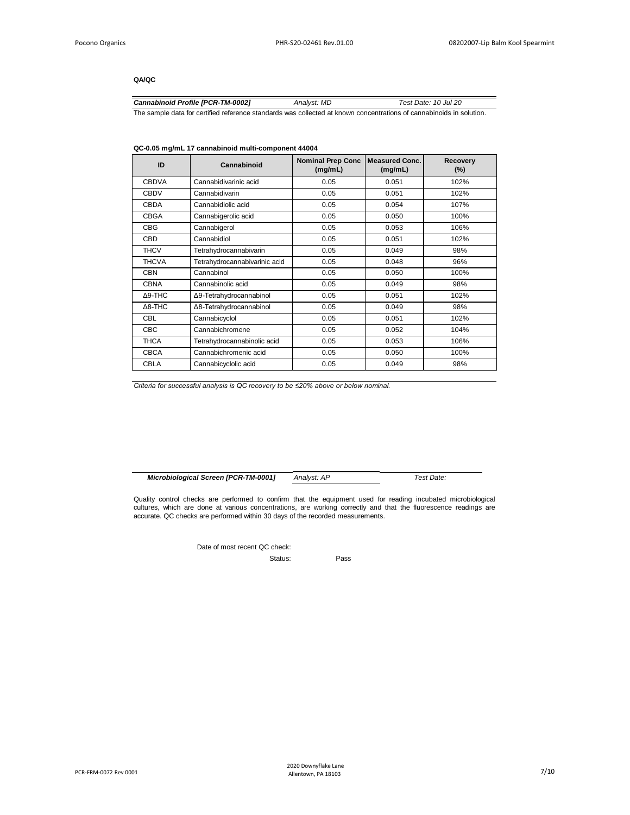# **QA/QC**

| Cannabinoid Profile [PCR-TM-0002]                                                                                    | Analyst: MD | Test Date: 10 Jul 20 |
|----------------------------------------------------------------------------------------------------------------------|-------------|----------------------|
| The sample data for certified reference standards was collected at known concentrations of cannabinoids in solution. |             |                      |

**QC-0.05 mg/mL 17 cannabinoid multi-component 44004**

| ID             | Cannabinoid                   | <b>Nominal Prep Conc</b><br>(mg/mL) | <b>Measured Conc.</b><br>(mg/mL) | <b>Recovery</b><br>$(\%)$ |
|----------------|-------------------------------|-------------------------------------|----------------------------------|---------------------------|
| <b>CBDVA</b>   | Cannabidivarinic acid         | 0.05                                | 0.051                            | 102%                      |
| <b>CBDV</b>    | Cannabidivarin                | 0.05                                | 0.051                            | 102%                      |
| <b>CBDA</b>    | Cannabidiolic acid            | 0.05                                | 0.054                            | 107%                      |
| <b>CBGA</b>    | Cannabigerolic acid           | 0.05                                | 0.050                            | 100%                      |
| <b>CBG</b>     | Cannabigerol                  | 0.05                                | 0.053                            | 106%                      |
| <b>CBD</b>     | Cannabidiol                   | 0.05                                | 0.051                            | 102%                      |
| <b>THCV</b>    | Tetrahydrocannabivarin        | 0.05                                | 0.049                            | 98%                       |
| <b>THCVA</b>   | Tetrahydrocannabivarinic acid | 0.05                                | 0.048                            | 96%                       |
| <b>CBN</b>     | Cannabinol                    | 0.05                                | 0.050                            | 100%                      |
| <b>CBNA</b>    | Cannabinolic acid             | 0.05                                | 0.049                            | 98%                       |
| $\Delta$ 9-THC | ∆9-Tetrahydrocannabinol       | 0.05                                | 0.051                            | 102%                      |
| $\Delta$ 8-THC | ∆8-Tetrahydrocannabinol       | 0.05                                | 0.049                            | 98%                       |
| <b>CBL</b>     | Cannabicyclol                 | 0.05                                | 0.051                            | 102%                      |
| <b>CBC</b>     | Cannabichromene               | 0.05                                | 0.052                            | 104%                      |
| <b>THCA</b>    | Tetrahydrocannabinolic acid   | 0.05                                | 0.053                            | 106%                      |
| <b>CBCA</b>    | Cannabichromenic acid         | 0.05                                | 0.050                            | 100%                      |
| <b>CBLA</b>    | Cannabicyclolic acid          | 0.05                                | 0.049                            | 98%                       |

*Criteria for successful analysis is QC recovery to be ≤20% above or below nominal.*

*Microbiological Screen [PCR-TM-0001] Analyst: AP Test Date:* 

Quality control checks are performed to confirm that the equipment used for reading incubated microbiological cultures, which are done at various concentrations, are working correctly and that the fluorescence readings are accurate. QC checks are performed within 30 days of the recorded measurements.

Date of most recent QC check:

Status: Pass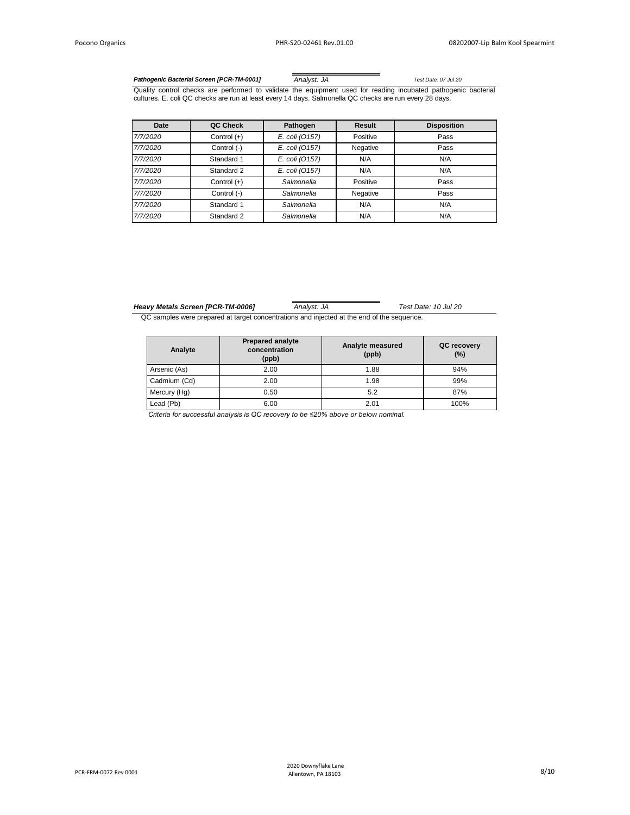Pathogenic Bacterial Screen [PCR-TM-0001] **Analyst: JA Test Date: 07 Jul 20** 

Quality control checks are performed to validate the equipment used for reading incubated pathogenic bacterial cultures. E. coli QC checks are run at least every 14 days. Salmonella QC checks are run every 28 days.

| Date     | QC Check      | Pathogen       | <b>Result</b> | <b>Disposition</b> |
|----------|---------------|----------------|---------------|--------------------|
| 7/7/2020 | Control $(+)$ | E. coli (0157) | Positive      | Pass               |
| 7/7/2020 | Control (-)   | E. coli (0157) | Negative      | Pass               |
| 7/7/2020 | Standard 1    | E. coli (0157) | N/A           | N/A                |
| 7/7/2020 | Standard 2    | E. coli (0157) | N/A           | N/A                |
| 7/7/2020 | Control $(+)$ | Salmonella     | Positive      | Pass               |
| 7/7/2020 | Control (-)   | Salmonella     | Negative      | Pass               |
| 7/7/2020 | Standard 1    | Salmonella     | N/A           | N/A                |
| 7/7/2020 | Standard 2    | Salmonella     | N/A           | N/A                |

|  |  | Heavy Metals Screen [PCR-TM-0006] |  |
|--|--|-----------------------------------|--|
|--|--|-----------------------------------|--|

# *Heavy Metals Screen [PCR-TM-0006] Analyst: JA Test Date: 10 Jul 20*

QC samples were prepared at target concentrations and injected at the end of the sequence.

| Analyte      | <b>Prepared analyte</b><br>concentration<br>(ppb) | Analyte measured<br>(ppb) | QC recovery<br>(%) |
|--------------|---------------------------------------------------|---------------------------|--------------------|
| Arsenic (As) | 2.00                                              | 1.88                      | 94%                |
| Cadmium (Cd) | 2.00                                              | 1.98                      | 99%                |
| Mercury (Hg) | 0.50                                              | 5.2                       | 87%                |
| Lead (Pb)    | 6.00                                              | 2.01                      | 100%               |

*Criteria for successful analysis is QC recovery to be ≤20% above or below nominal.*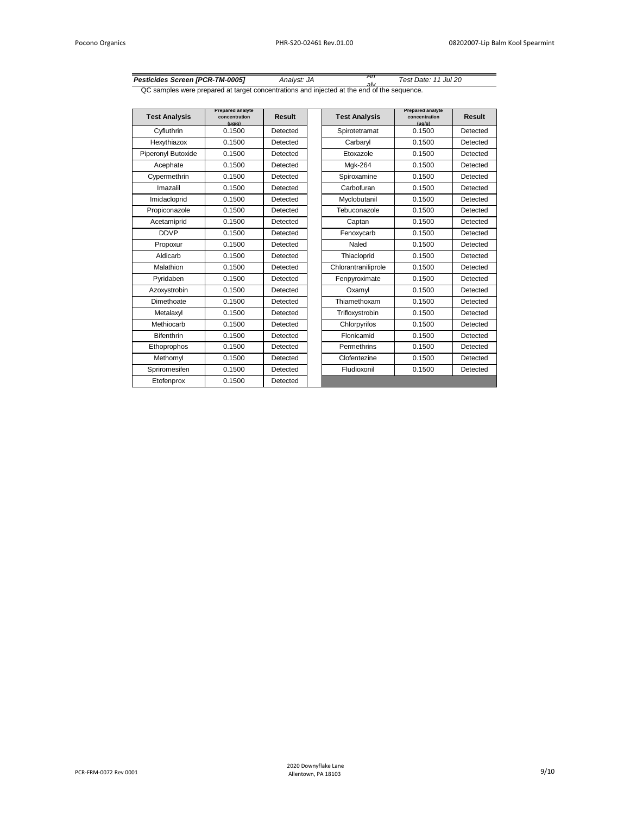| Pesticides Screen [PCR-TM-0005]                                                            | Analyst: JA | AN<br>، ۱۱ ت | Test Date: 11 Jul 20 |
|--------------------------------------------------------------------------------------------|-------------|--------------|----------------------|
| QC samples were prepared at target concentrations and injected at the end of the sequence. |             |              |                      |

| <b>Test Analysis</b> | <b>Prepared analyte</b><br>concentration<br>(ua/a) | Result   | <b>Test Analysis</b> | <b>Prepared analyte</b><br>concentration<br>(ua/a) | Result   |
|----------------------|----------------------------------------------------|----------|----------------------|----------------------------------------------------|----------|
| Cyfluthrin           | 0.1500                                             | Detected | Spirotetramat        | 0.1500                                             | Detected |
| Hexythiazox          | 0.1500                                             | Detected | Carbaryl             | 0.1500                                             | Detected |
| Piperonyl Butoxide   | 0.1500                                             | Detected | Etoxazole            | 0.1500                                             | Detected |
| Acephate             | 0.1500                                             | Detected | Mgk-264              | 0.1500                                             | Detected |
| Cypermethrin         | 0.1500                                             | Detected | Spiroxamine          | 0.1500                                             | Detected |
| Imazalil             | 0.1500                                             | Detected | Carbofuran           | 0.1500                                             | Detected |
| Imidacloprid         | 0.1500                                             | Detected | Myclobutanil         | 0.1500                                             | Detected |
| Propiconazole        | 0.1500                                             | Detected | Tebuconazole         | 0.1500                                             | Detected |
| Acetamiprid          | 0.1500                                             | Detected | Captan               | 0.1500                                             | Detected |
| <b>DDVP</b>          | 0.1500                                             | Detected | Fenoxycarb           | 0.1500                                             | Detected |
| Propoxur             | 0.1500                                             | Detected | Naled                | 0.1500                                             | Detected |
| Aldicarb             | 0.1500                                             | Detected | Thiacloprid          | 0.1500                                             | Detected |
| Malathion            | 0.1500                                             | Detected | Chlorantraniliprole  | 0.1500                                             | Detected |
| Pyridaben            | 0.1500                                             | Detected | Fenpyroximate        | 0.1500                                             | Detected |
| Azoxystrobin         | 0.1500                                             | Detected | Oxamyl               | 0.1500                                             | Detected |
| Dimethoate           | 0.1500                                             | Detected | Thiamethoxam         | 0.1500                                             | Detected |
| Metalaxyl            | 0.1500                                             | Detected | Trifloxystrobin      | 0.1500                                             | Detected |
| Methiocarb           | 0.1500                                             | Detected | Chlorpyrifos         | 0.1500                                             | Detected |
| <b>Bifenthrin</b>    | 0.1500                                             | Detected | Flonicamid           | 0.1500                                             | Detected |
| Ethoprophos          | 0.1500                                             | Detected | Permethrins          | 0.1500                                             | Detected |
| Methomyl             | 0.1500                                             | Detected | Clofentezine         | 0.1500                                             | Detected |
| Spriromesifen        | 0.1500                                             | Detected | Fludioxonil          | 0.1500                                             | Detected |
| Etofenprox           | 0.1500                                             | Detected |                      |                                                    |          |